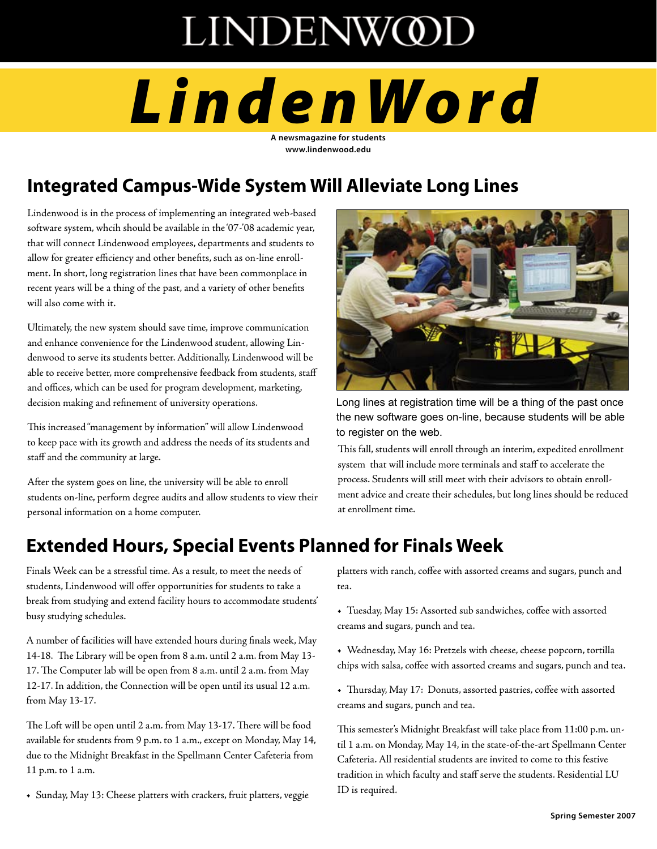# **LINDENWOD**

# *LindenWo rd*

**A newsmagazine for students www.lindenwood.edu** 

# **Integrated Campus-Wide System Will Alleviate Long Lines**

Lindenwood is in the process of implementing an integrated web-based software system, whcih should be available in the '07-'08 academic year, that will connect Lindenwood employees, departments and students to allow for greater efficiency and other benefits, such as on-line enrollment. In short, long registration lines that have been commonplace in recent years will be a thing of the past, and a variety of other benefits will also come with it.

Ultimately, the new system should save time, improve communication and enhance convenience for the Lindenwood student, allowing Lindenwood to serve its students better. Additionally, Lindenwood will be able to receive better, more comprehensive feedback from students, staff and offices, which can be used for program development, marketing, decision making and refinement of university operations.

This increased "management by information" will allow Lindenwood to keep pace with its growth and address the needs of its students and staff and the community at large.

After the system goes on line, the university will be able to enroll students on-line, perform degree audits and allow students to view their personal information on a home computer.



Long lines at registration time will be a thing of the past once the new software goes on-line, because students will be able to register on the web.

This fall, students will enroll through an interim, expedited enrollment system that will include more terminals and staff to accelerate the process. Students will still meet with their advisors to obtain enrollment advice and create their schedules, but long lines should be reduced at enrollment time.

# **Extended Hours, Special Events Planned for Finals Week**

Finals Week can be a stressful time. As a result, to meet the needs of students, Lindenwood will offer opportunities for students to take a break from studying and extend facility hours to accommodate students' busy studying schedules.

A number of facilities will have extended hours during finals week, May 14-18. The Library will be open from 8 a.m. until 2 a.m. from May 13- 17. The Computer lab will be open from 8 a.m. until 2 a.m. from May 12-17. In addition, the Connection will be open until its usual 12 a.m. from May 13-17.

The Loft will be open until 2 a.m. from May 13-17. There will be food available for students from 9 p.m. to 1 a.m., except on Monday, May 14, due to the Midnight Breakfast in the Spellmann Center Cafeteria from 11 p.m. to 1 a.m.

**•** Sunday, May 13: Cheese platters with crackers, fruit platters, veggie

platters with ranch, coffee with assorted creams and sugars, punch and tea.

**•** Tuesday, May 15: Assorted sub sandwiches, coffee with assorted creams and sugars, punch and tea.

**•** Wednesday, May 16: Pretzels with cheese, cheese popcorn, tortilla chips with salsa, coffee with assorted creams and sugars, punch and tea.

**•** Thursday, May 17: Donuts, assorted pastries, coffee with assorted creams and sugars, punch and tea.

This semester's Midnight Breakfast will take place from 11:00 p.m. until 1 a.m. on Monday, May 14, in the state-of-the-art Spellmann Center Cafeteria. All residential students are invited to come to this festive tradition in which faculty and staff serve the students. Residential LU ID is required.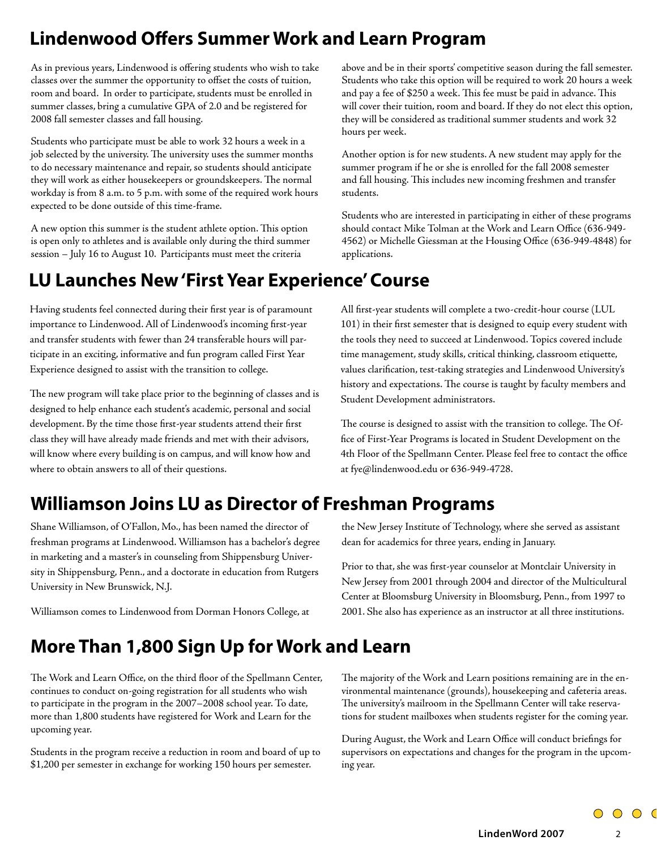# **Lindenwood Offers Summer Work and Learn Program**

As in previous years, Lindenwood is offering students who wish to take classes over the summer the opportunity to offset the costs of tuition, room and board. In order to participate, students must be enrolled in summer classes, bring a cumulative GPA of 2.0 and be registered for 2008 fall semester classes and fall housing.

Students who participate must be able to work 32 hours a week in a job selected by the university. The university uses the summer months to do necessary maintenance and repair, so students should anticipate they will work as either housekeepers or groundskeepers. The normal workday is from 8 a.m. to 5 p.m. with some of the required work hours expected to be done outside of this time-frame.

A new option this summer is the student athlete option. This option is open only to athletes and is available only during the third summer session – July 16 to August 10. Participants must meet the criteria

# **LU Launches New 'First Year Experience' Course**

Having students feel connected during their first year is of paramount importance to Lindenwood. All of Lindenwood's incoming first-year and transfer students with fewer than 24 transferable hours will participate in an exciting, informative and fun program called First Year Experience designed to assist with the transition to college.

The new program will take place prior to the beginning of classes and is designed to help enhance each student's academic, personal and social development. By the time those first-year students attend their first class they will have already made friends and met with their advisors, will know where every building is on campus, and will know how and where to obtain answers to all of their questions.

above and be in their sports' competitive season during the fall semester. Students who take this option will be required to work 20 hours a week and pay a fee of \$250 a week. This fee must be paid in advance. This will cover their tuition, room and board. If they do not elect this option, they will be considered as traditional summer students and work 32 hours per week.

Another option is for new students. A new student may apply for the summer program if he or she is enrolled for the fall 2008 semester and fall housing. This includes new incoming freshmen and transfer students.

Students who are interested in participating in either of these programs should contact Mike Tolman at the Work and Learn Office (636-949- 4562) or Michelle Giessman at the Housing Office (636-949-4848) for applications.

All first-year students will complete a two-credit-hour course (LUL 101) in their first semester that is designed to equip every student with the tools they need to succeed at Lindenwood. Topics covered include time management, study skills, critical thinking, classroom etiquette, values clarification, test-taking strategies and Lindenwood University's history and expectations. The course is taught by faculty members and Student Development administrators.

The course is designed to assist with the transition to college. The Office of First-Year Programs is located in Student Development on the 4th Floor of the Spellmann Center. Please feel free to contact the office at fye@lindenwood.edu or 636-949-4728.

# **Williamson Joins LU as Director of Freshman Programs**

Shane Williamson, of O'Fallon, Mo., has been named the director of freshman programs at Lindenwood. Williamson has a bachelor's degree in marketing and a master's in counseling from Shippensburg University in Shippensburg, Penn., and a doctorate in education from Rutgers University in New Brunswick, N.J.

Williamson comes to Lindenwood from Dorman Honors College, at

# **More Than 1,800 Sign Up for Work and Learn**

The Work and Learn Office, on the third floor of the Spellmann Center, continues to conduct on-going registration for all students who wish to participate in the program in the 2007–2008 school year. To date, more than 1,800 students have registered for Work and Learn for the upcoming year.

Students in the program receive a reduction in room and board of up to \$1,200 per semester in exchange for working 150 hours per semester.

the New Jersey Institute of Technology, where she served as assistant dean for academics for three years, ending in January.

Prior to that, she was first-year counselor at Montclair University in New Jersey from 2001 through 2004 and director of the Multicultural Center at Bloomsburg University in Bloomsburg, Penn., from 1997 to 2001. She also has experience as an instructor at all three institutions.

The majority of the Work and Learn positions remaining are in the environmental maintenance (grounds), housekeeping and cafeteria areas. The university's mailroom in the Spellmann Center will take reservations for student mailboxes when students register for the coming year.

During August, the Work and Learn Office will conduct briefings for supervisors on expectations and changes for the program in the upcoming year.

**LindenWord 2007**

 $0000$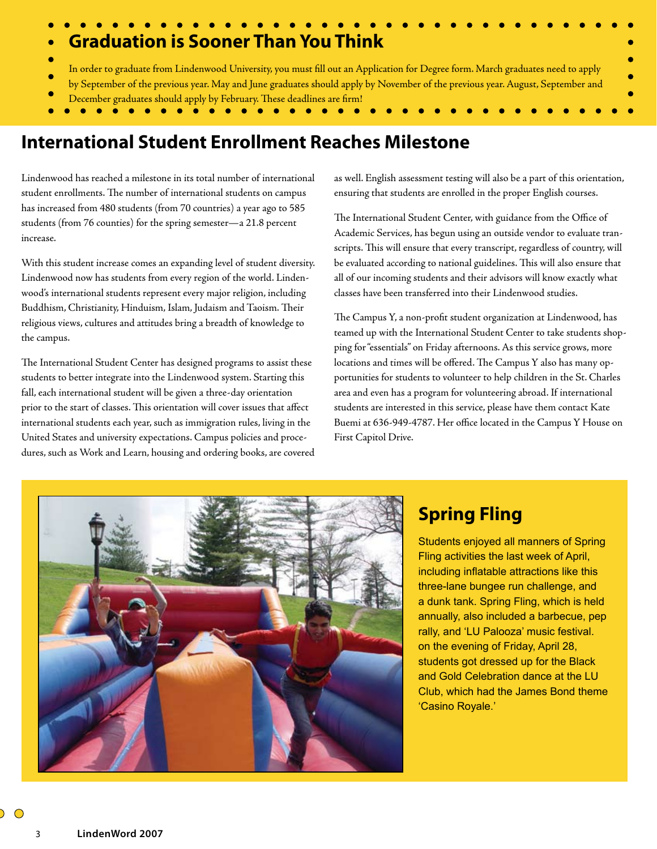# **Graduation is Sooner Than You Think** In order to graduate from Lindenwood University, you must fill out an Application for Degree form. March graduates need to apply by September of the previous year. May and June graduates should apply by November of the previous year. August, September and December graduates should apply by February. These deadlines are firm!

# **International Student Enrollment Reaches Milestone**

Lindenwood has reached a milestone in its total number of international student enrollments. The number of international students on campus has increased from 480 students (from 70 countries) a year ago to 585 students (from 76 counties) for the spring semester—a 21.8 percent increase.

With this student increase comes an expanding level of student diversity. Lindenwood now has students from every region of the world. Lindenwood's international students represent every major religion, including Buddhism, Christianity, Hinduism, Islam, Judaism and Taoism. Their religious views, cultures and attitudes bring a breadth of knowledge to the campus.

The International Student Center has designed programs to assist these students to better integrate into the Lindenwood system. Starting this fall, each international student will be given a three-day orientation prior to the start of classes. This orientation will cover issues that affect international students each year, such as immigration rules, living in the United States and university expectations. Campus policies and procedures, such as Work and Learn, housing and ordering books, are covered

as well. English assessment testing will also be a part of this orientation, ensuring that students are enrolled in the proper English courses.

The International Student Center, with guidance from the Office of Academic Services, has begun using an outside vendor to evaluate transcripts. This will ensure that every transcript, regardless of country, will be evaluated according to national guidelines. This will also ensure that all of our incoming students and their advisors will know exactly what classes have been transferred into their Lindenwood studies.

The Campus Y, a non-profit student organization at Lindenwood, has teamed up with the International Student Center to take students shopping for "essentials" on Friday afternoons. As this service grows, more locations and times will be offered. The Campus Y also has many opportunities for students to volunteer to help children in the St. Charles area and even has a program for volunteering abroad. If international students are interested in this service, please have them contact Kate Buemi at 636-949-4787. Her office located in the Campus Y House on First Capitol Drive.



## **Spring Fling**

Students enjoyed all manners of Spring Fling activities the last week of April, including inflatable attractions like this three-lane bungee run challenge, and a dunk tank. Spring Fling, which is held annually, also included a barbecue, pep rally, and 'LU Palooza' music festival. on the evening of Friday, April 28, students got dressed up for the Black and Gold Celebration dance at the LU Club, which had the James Bond theme 'Casino Royale.'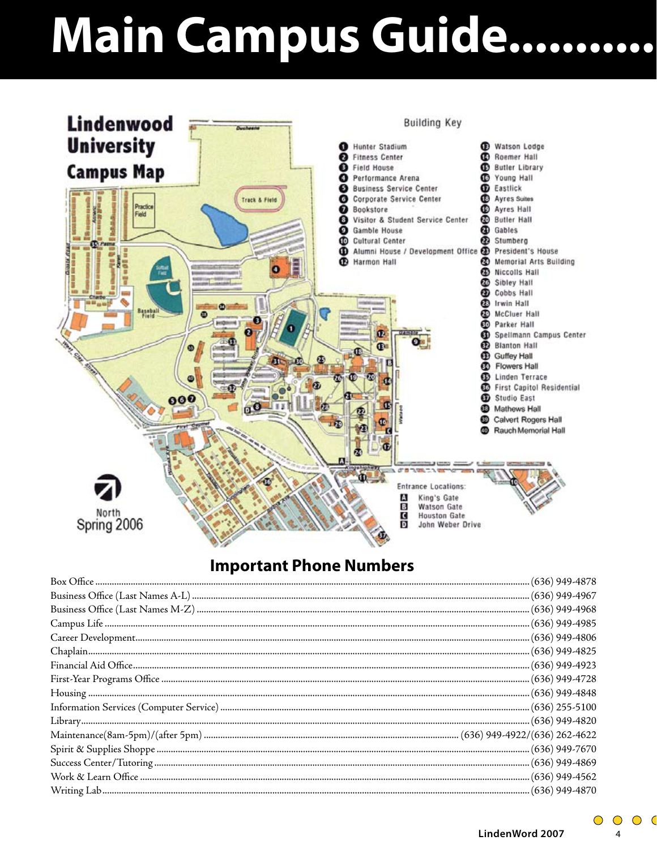# Main Campus Guide..........



## **Important Phone Numbers**

 $\bigcirc$   $\bigcirc$  $\bigcirc$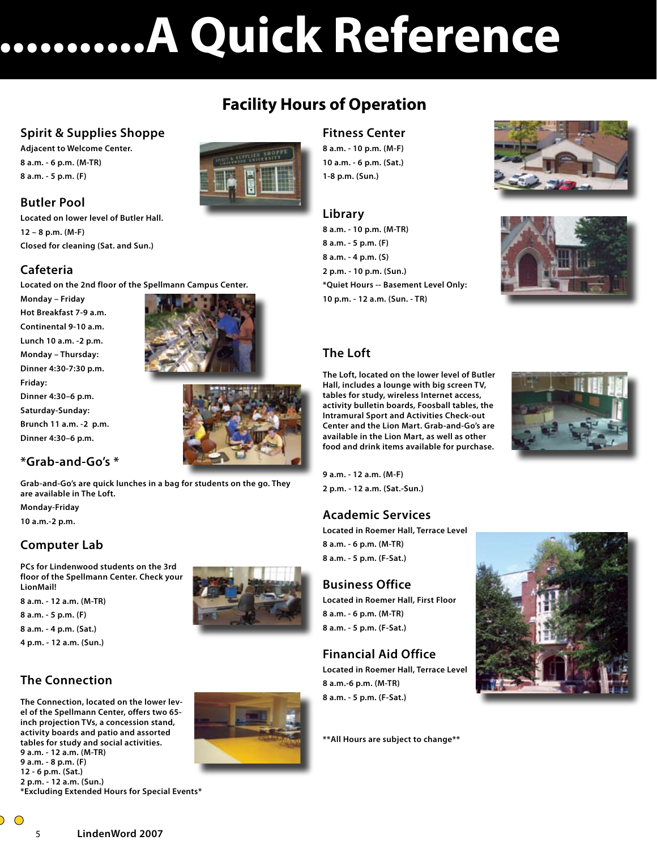# **Main Campus Guide......................A Quick Reference**

### **Spirit & Supplies Shoppe**

**Adjacent to Welcome Center. 8 a.m. - 6 p.m. (M-TR) 8 a.m. - 5 p.m. (F)**

#### **Butler Pool**

**Located on lower level of Butler Hall. 12 – 8 p.m. (M-F) Closed for cleaning (Sat. and Sun.)**

#### **Cafeteria**

**Located on the 2nd floor of the Spellmann Campus Center.**

**Monday – Friday Hot Breakfast 7-9 a.m. Continental 9-10 a.m. Lunch 10 a.m. -2 p.m. Monday – Thursday: Dinner 4:30-7:30 p.m. Friday:** 

**Dinner 4:30–6 p.m. Saturday-Sunday: Brunch 11 a.m. -2 p.m. Dinner 4:30–6 p.m.**





### **\*Grab-and-Go's \***

**Grab-and-Go's are quick lunches in a bag for students on the go. They are available in The Loft.**

**Monday-Friday 10 a.m.-2 p.m.**

#### **Computer Lab**

**PCs for Lindenwood students on the 3rd floor of the Spellmann Center. Check your LionMail!**

**8 a.m. - 12 a.m. (M-TR)**

**8 a.m. - 5 p.m. (F)**

**8 a.m. - 4 p.m. (Sat.)**

**4 p.m. - 12 a.m. (Sun.)**

## **The Connection**

**The Connection, located on the lower level of the Spellmann Center, offers two 65 inch projection TVs, a concession stand, activity boards and patio and assorted tables for study and social activities. 9 a.m. - 12 a.m. (M-TR) 9 a.m. - 8 p.m. (F) 12 - 6 p.m. (Sat.) 2 p.m. - 12 a.m. (Sun.) \*Excluding Extended Hours for Special Events\***





## **Facility Hours of Operation**

#### **Fitness Center**

**8 a.m. - 10 p.m. (M-F) 10 a.m. - 6 p.m. (Sat.) 1-8 p.m. (Sun.)**

#### **Library**

**8 a.m. - 10 p.m. (M-TR) 8 a.m. - 5 p.m. (F) 8 a.m. - 4 p.m. (S) 2 p.m. - 10 p.m. (Sun.) \*Quiet Hours -- Basement Level Only: 10 p.m. - 12 a.m. (Sun. - TR)**





#### **The Loft**

**The Loft, located on the lower level of Butler Hall, includes a lounge with big screen TV, tables for study, wireless Internet access, activity bulletin boards, Foosball tables, the Intramural Sport and Activities Check-out Center and the Lion Mart. Grab-and-Go's are available in the Lion Mart, as well as other food and drink items available for purchase.**



**9 a.m. - 12 a.m. (M-F) 2 p.m. - 12 a.m. (Sat.-Sun.)**

#### **Academic Services**

**Located in Roemer Hall, Terrace Level 8 a.m. - 6 p.m. (M-TR) 8 a.m. - 5 p.m. (F-Sat.)**

#### **Business Office**

**Located in Roemer Hall, First Floor 8 a.m. - 6 p.m. (M-TR) 8 a.m. - 5 p.m. (F-Sat.)**

## **Financial Aid Office**

**Located in Roemer Hall, Terrace Level 8 a.m.-6 p.m. (M-TR) 8 a.m. - 5 p.m. (F-Sat.)**

**\*\*All Hours are subject to change\*\***

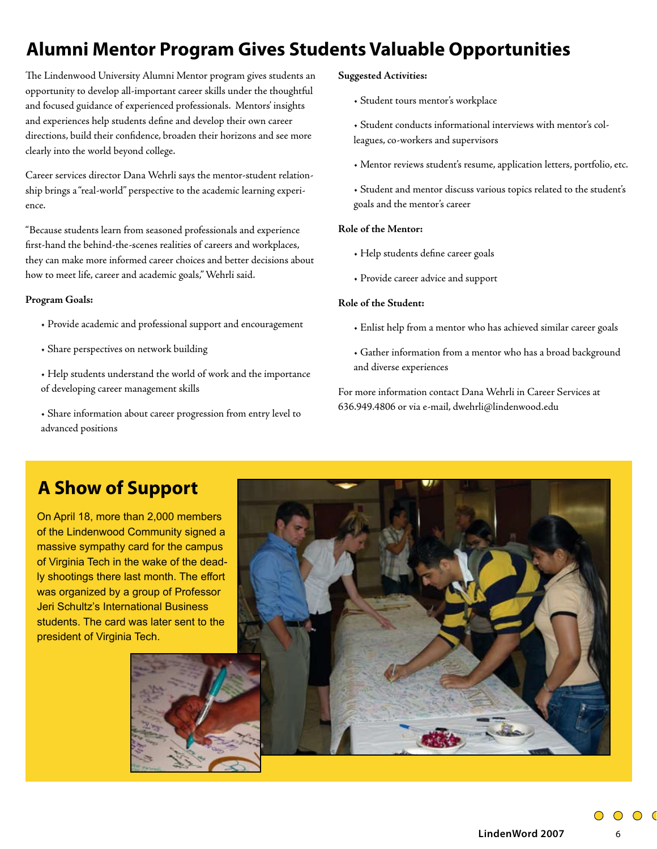# **Alumni Mentor Program Gives Students Valuable Opportunities**

The Lindenwood University Alumni Mentor program gives students an opportunity to develop all-important career skills under the thoughtful and focused guidance of experienced professionals. Mentors' insights and experiences help students define and develop their own career directions, build their confidence, broaden their horizons and see more clearly into the world beyond college.

Career services director Dana Wehrli says the mentor-student relationship brings a "real-world" perspective to the academic learning experience.

"Because students learn from seasoned professionals and experience first-hand the behind-the-scenes realities of careers and workplaces, they can make more informed career choices and better decisions about how to meet life, career and academic goals," Wehrli said.

#### **Program Goals:**

- Provide academic and professional support and encouragement
- Share perspectives on network building
- Help students understand the world of work and the importance of developing career management skills
- Share information about career progression from entry level to advanced positions

#### **Suggested Activities:**

• Student tours mentor's workplace

• Student conducts informational interviews with mentor's colleagues, co-workers and supervisors

• Mentor reviews student's resume, application letters, portfolio, etc.

• Student and mentor discuss various topics related to the student's goals and the mentor's career

#### **Role of the Mentor:**

- Help students define career goals
- Provide career advice and support

#### **Role of the Student:**

- Enlist help from a mentor who has achieved similar career goals
- Gather information from a mentor who has a broad background and diverse experiences

For more information contact Dana Wehrli in Career Services at 636.949.4806 or via e-mail, dwehrli@lindenwood.edu

## **A Show of Support**

On April 18, more than 2,000 members of the Lindenwood Community signed a massive sympathy card for the campus of Virginia Tech in the wake of the deadly shootings there last month. The effort was organized by a group of Professor Jeri Schultz's International Business students. The card was later sent to the president of Virginia Tech.

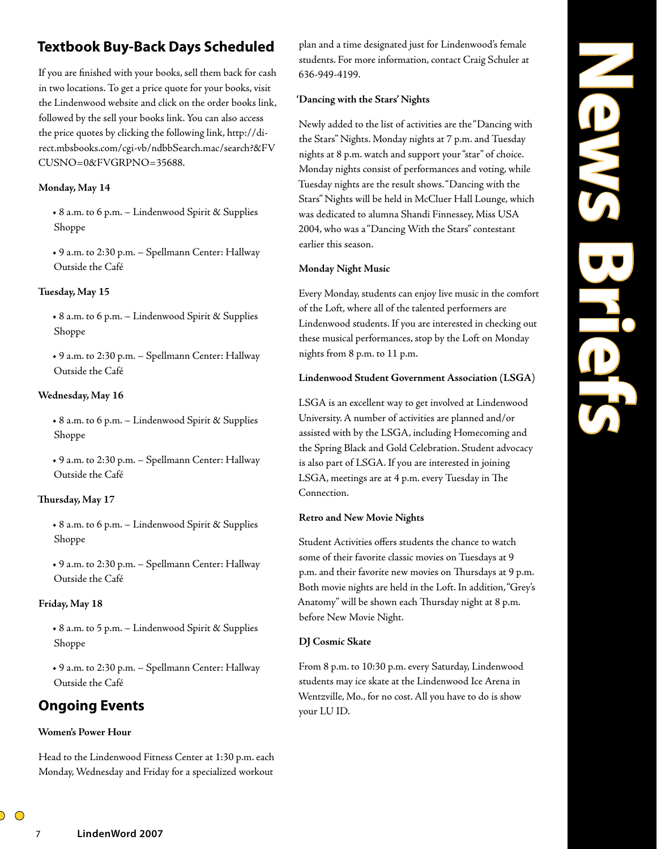## **Textbook Buy-Back Days Scheduled**

If you are finished with your books, sell them back for cash in two locations. To get a price quote for your books, visit the Lindenwood website and click on the order books link, followed by the sell your books link. You can also access the price quotes by clicking the following link, http://direct.mbsbooks.com/cgi-vb/ndbbSearch.mac/search?&FV CUSNO=0&FVGRPNO=35688.

#### **Monday, May 14**

**•** 8 a.m. to 6 p.m. – Lindenwood Spirit & Supplies Shoppe

**•** 9 a.m. to 2:30 p.m. – Spellmann Center: Hallway Outside the Café

#### **Tuesday, May 15**

**•** 8 a.m. to 6 p.m. – Lindenwood Spirit & Supplies Shoppe

**•** 9 a.m. to 2:30 p.m. – Spellmann Center: Hallway Outside the Café

#### **Wednesday, May 16**

**•** 8 a.m. to 6 p.m. – Lindenwood Spirit & Supplies Shoppe

**•** 9 a.m. to 2:30 p.m. – Spellmann Center: Hallway Outside the Café

#### **Thursday, May 17**

**•** 8 a.m. to 6 p.m. – Lindenwood Spirit & Supplies Shoppe

**•** 9 a.m. to 2:30 p.m. – Spellmann Center: Hallway Outside the Café

#### **Friday, May 18**

**•** 8 a.m. to 5 p.m. – Lindenwood Spirit & Supplies Shoppe

**•** 9 a.m. to 2:30 p.m. – Spellmann Center: Hallway Outside the Café

## **Ongoing Events**

#### **Women's Power Hour**

Head to the Lindenwood Fitness Center at 1:30 p.m. each Monday, Wednesday and Friday for a specialized workout

plan and a time designated just for Lindenwood's female students. For more information, contact Craig Schuler at 636-949-4199.

#### **'Dancing with the Stars' Nights**

Newly added to the list of activities are the "Dancing with the Stars" Nights. Monday nights at 7 p.m. and Tuesday nights at 8 p.m. watch and support your "star" of choice. Monday nights consist of performances and voting, while Tuesday nights are the result shows. "Dancing with the Stars" Nights will be held in McCluer Hall Lounge, which was dedicated to alumna Shandi Finnessey, Miss USA 2004, who was a "Dancing With the Stars" contestant earlier this season.

#### **Monday Night Music**

Every Monday, students can enjoy live music in the comfort of the Loft, where all of the talented performers are Lindenwood students. If you are interested in checking out these musical performances, stop by the Loft on Monday nights from 8 p.m. to 11 p.m.

#### **Lindenwood Student Government Association (LSGA)**

LSGA is an excellent way to get involved at Lindenwood University. A number of activities are planned and/or assisted with by the LSGA, including Homecoming and the Spring Black and Gold Celebration. Student advocacy is also part of LSGA. If you are interested in joining LSGA, meetings are at 4 p.m. every Tuesday in The Connection.

#### **Retro and New Movie Nights**

Student Activities offers students the chance to watch some of their favorite classic movies on Tuesdays at 9 p.m. and their favorite new movies on Thursdays at 9 p.m. Both movie nights are held in the Loft. In addition, "Grey's Anatomy" will be shown each Thursday night at 8 p.m. before New Movie Night.

#### **DJ Cosmic Skate**

From 8 p.m. to 10:30 p.m. every Saturday, Lindenwood students may ice skate at the Lindenwood Ice Arena in Wentzville, Mo., for no cost. All you have to do is show your LU ID.